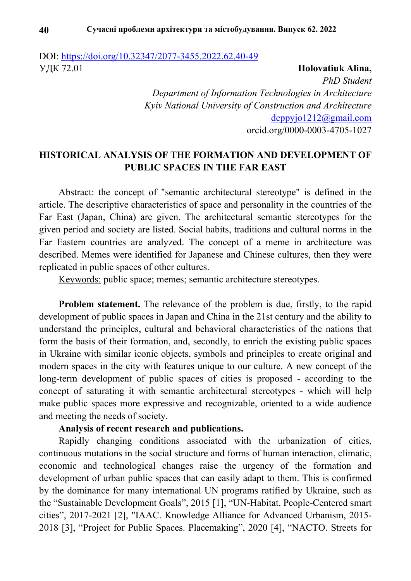DOI:<https://doi.org/10.32347/2077-3455.2022.62.40-49> УДК 72.01 **Holovatiuk Alina,**

*PhD Student Department of Information Technologies in Architecture Kyiv National University of Construction and Architecture* [deppyjo1212@gmail.com](mailto:deppyjo1212@gmail.com) orcid.org/0000-0003-4705-1027

# **HISTORICAL ANALYSIS OF THE FORMATION AND DEVELOPMENT OF PUBLIC SPACES IN THE FAR EAST**

Abstract: the concept of "semantic architectural stereotype" is defined in the article. The descriptive characteristics of space and personality in the countries of the Far East (Japan, China) are given. The architectural semantic stereotypes for the given period and society are listed. Social habits, traditions and cultural norms in the Far Eastern countries are analyzed. The concept of a meme in architecture was described. Memes were identified for Japanese and Chinese cultures, then they were replicated in public spaces of other cultures.

Keywords: public space; memes; semantic architecture stereotypes.

**Problem statement.** The relevance of the problem is due, firstly, to the rapid development of public spaces in Japan and China in the 21st century and the ability to understand the principles, cultural and behavioral characteristics of the nations that form the basis of their formation, and, secondly, to enrich the existing public spaces in Ukraine with similar iconic objects, symbols and principles to create original and modern spaces in the city with features unique to our culture. A new concept of the long-term development of public spaces of cities is proposed - according to the concept of saturating it with semantic architectural stereotypes - which will help make public spaces more expressive and recognizable, oriented to a wide audience and meeting the needs of society.

### **Analysis of recent research and publications.**

Rapidly changing conditions associated with the urbanization of cities, continuous mutations in the social structure and forms of human interaction, climatic, economic and technological changes raise the urgency of the formation and development of urban public spaces that can easily adapt to them. This is confirmed by the dominance for many international UN programs ratified by Ukraine, such as the "Sustainable Development Goals", 2015 [1], "UN-Habitat. People-Centered smart cities", 2017-2021 [2], "IAAC. Knowledge Alliance for Advanced Urbanism, 2015- 2018 [3], "Project for Public Spaces. Placemaking", 2020 [4], "NACTO. Streets for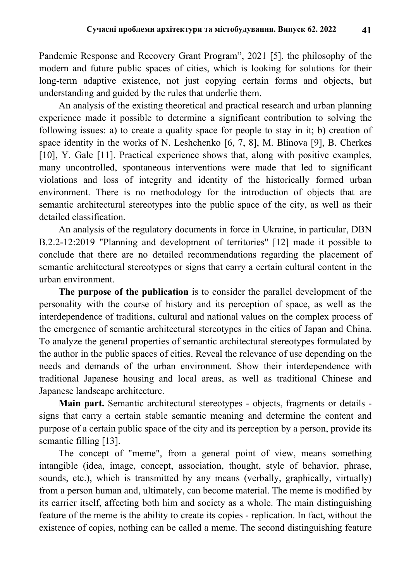Pandemic Response and Recovery Grant Program", 2021 [5], the philosophy of the modern and future public spaces of cities, which is looking for solutions for their long-term adaptive existence, not just copying certain forms and objects, but understanding and guided by the rules that underlie them.

An analysis of the existing theoretical and practical research and urban planning experience made it possible to determine a significant contribution to solving the following issues: a) to create a quality space for people to stay in it; b) creation of space identity in the works of N. Leshchenko [6, 7, 8], M. Blinova [9], B. Cherkes [10], Y. Gale [11]. Practical experience shows that, along with positive examples, many uncontrolled, spontaneous interventions were made that led to significant violations and loss of integrity and identity of the historically formed urban environment. There is no methodology for the introduction of objects that are semantic architectural stereotypes into the public space of the city, as well as their detailed classification.

An analysis of the regulatory documents in force in Ukraine, in particular, DBN B.2.2-12:2019 "Planning and development of territories" [12] made it possible to conclude that there are no detailed recommendations regarding the placement of semantic architectural stereotypes or signs that carry a certain cultural content in the urban environment.

**The purpose of the publication** is to consider the parallel development of the personality with the course of history and its perception of space, as well as the interdependence of traditions, cultural and national values on the complex process of the emergence of semantic architectural stereotypes in the cities of Japan and China. To analyze the general properties of semantic architectural stereotypes formulated by the author in the public spaces of cities. Reveal the relevance of use depending on the needs and demands of the urban environment. Show their interdependence with traditional Japanese housing and local areas, as well as traditional Chinese and Japanese landscape architecture.

**Main part.** Semantic architectural stereotypes - objects, fragments or details signs that carry a certain stable semantic meaning and determine the content and purpose of a certain public space of the city and its perception by a person, provide its semantic filling [13].

The concept of "meme", from a general point of view, means something intangible (idea, image, concept, association, thought, style of behavior, phrase, sounds, etc.), which is transmitted by any means (verbally, graphically, virtually) from a person human and, ultimately, can become material. The meme is modified by its carrier itself, affecting both him and society as a whole. The main distinguishing feature of the meme is the ability to create its copies - replication. In fact, without the existence of copies, nothing can be called a meme. The second distinguishing feature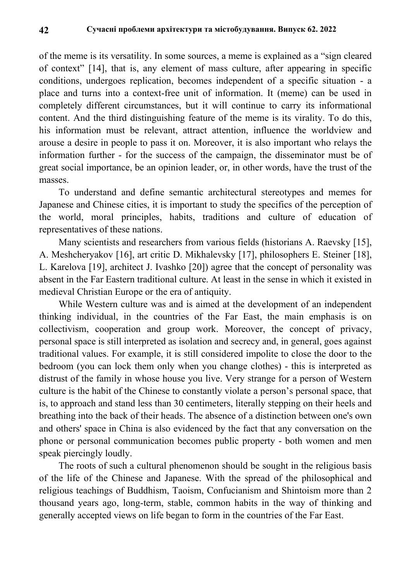of the meme is its versatility. In some sources, a meme is explained as a "sign cleared of context" [14], that is, any element of mass culture, after appearing in specific conditions, undergoes replication, becomes independent of a specific situation - a place and turns into a context-free unit of information. It (meme) can be used in completely different circumstances, but it will continue to carry its informational content. And the third distinguishing feature of the meme is its virality. To do this, his information must be relevant, attract attention, influence the worldview and arouse a desire in people to pass it on. Moreover, it is also important who relays the information further - for the success of the campaign, the disseminator must be of great social importance, be an opinion leader, or, in other words, have the trust of the masses.

To understand and define semantic architectural stereotypes and memes for Japanese and Chinese cities, it is important to study the specifics of the perception of the world, moral principles, habits, traditions and culture of education of representatives of these nations.

Many scientists and researchers from various fields (historians A. Raevsky [15], A. Meshcheryakov [16], art critic D. Mikhalevsky [17], philosophers E. Steiner [18], L. Karelova [19], architect J. Ivashko [20]) agree that the concept of personality was absent in the Far Eastern traditional culture. At least in the sense in which it existed in medieval Christian Europe or the era of antiquity.

While Western culture was and is aimed at the development of an independent thinking individual, in the countries of the Far East, the main emphasis is on collectivism, cooperation and group work. Moreover, the concept of privacy, personal space is still interpreted as isolation and secrecy and, in general, goes against traditional values. For example, it is still considered impolite to close the door to the bedroom (you can lock them only when you change clothes) - this is interpreted as distrust of the family in whose house you live. Very strange for a person of Western culture is the habit of the Chinese to constantly violate a person's personal space, that is, to approach and stand less than 30 centimeters, literally stepping on their heels and breathing into the back of their heads. The absence of a distinction between one's own and others' space in China is also evidenced by the fact that any conversation on the phone or personal communication becomes public property - both women and men speak piercingly loudly.

The roots of such a cultural phenomenon should be sought in the religious basis of the life of the Chinese and Japanese. With the spread of the philosophical and religious teachings of Buddhism, Taoism, Confucianism and Shintoism more than 2 thousand years ago, long-term, stable, common habits in the way of thinking and generally accepted views on life began to form in the countries of the Far East.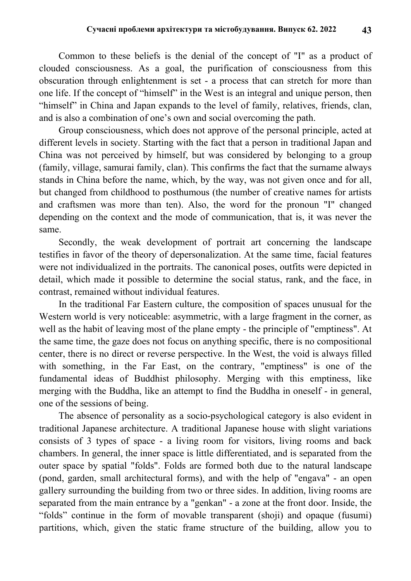Common to these beliefs is the denial of the concept of "I" as a product of clouded consciousness. As a goal, the purification of consciousness from this obscuration through enlightenment is set - a process that can stretch for more than one life. If the concept of "himself" in the West is an integral and unique person, then "himself" in China and Japan expands to the level of family, relatives, friends, clan, and is also a combination of one's own and social overcoming the path.

Group consciousness, which does not approve of the personal principle, acted at different levels in society. Starting with the fact that a person in traditional Japan and China was not perceived by himself, but was considered by belonging to a group (family, village, samurai family, clan). This confirms the fact that the surname always stands in China before the name, which, by the way, was not given once and for all, but changed from childhood to posthumous (the number of creative names for artists and craftsmen was more than ten). Also, the word for the pronoun "I" changed depending on the context and the mode of communication, that is, it was never the same.

Secondly, the weak development of portrait art concerning the landscape testifies in favor of the theory of depersonalization. At the same time, facial features were not individualized in the portraits. The canonical poses, outfits were depicted in detail, which made it possible to determine the social status, rank, and the face, in contrast, remained without individual features.

In the traditional Far Eastern culture, the composition of spaces unusual for the Western world is very noticeable: asymmetric, with a large fragment in the corner, as well as the habit of leaving most of the plane empty - the principle of "emptiness". At the same time, the gaze does not focus on anything specific, there is no compositional center, there is no direct or reverse perspective. In the West, the void is always filled with something, in the Far East, on the contrary, "emptiness" is one of the fundamental ideas of Buddhist philosophy. Merging with this emptiness, like merging with the Buddha, like an attempt to find the Buddha in oneself - in general, one of the sessions of being.

The absence of personality as a socio-psychological category is also evident in traditional Japanese architecture. A traditional Japanese house with slight variations consists of 3 types of space - a living room for visitors, living rooms and back chambers. In general, the inner space is little differentiated, and is separated from the outer space by spatial "folds". Folds are formed both due to the natural landscape (pond, garden, small architectural forms), and with the help of "engava" - an open gallery surrounding the building from two or three sides. In addition, living rooms are separated from the main entrance by a "genkan" - a zone at the front door. Inside, the "folds" continue in the form of movable transparent (shoji) and opaque (fusumi) partitions, which, given the static frame structure of the building, allow you to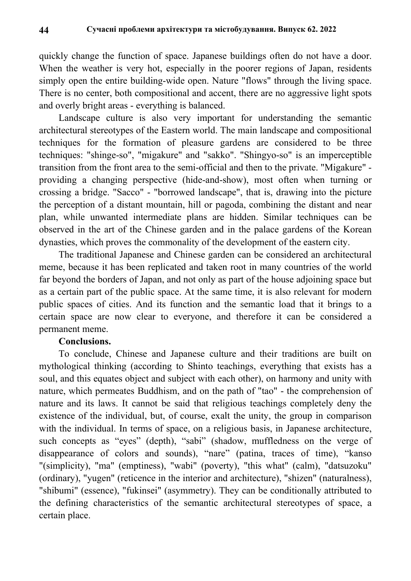quickly change the function of space. Japanese buildings often do not have a door. When the weather is very hot, especially in the poorer regions of Japan, residents simply open the entire building-wide open. Nature "flows" through the living space. There is no center, both compositional and accent, there are no aggressive light spots and overly bright areas - everything is balanced.

Landscape culture is also very important for understanding the semantic architectural stereotypes of the Eastern world. The main landscape and compositional techniques for the formation of pleasure gardens are considered to be three techniques: "shinge-so", "migakure" and "sakko". "Shingyo-so" is an imperceptible transition from the front area to the semi-official and then to the private. "Migakure" providing a changing perspective (hide-and-show), most often when turning or crossing a bridge. "Sacco" - "borrowed landscape", that is, drawing into the picture the perception of a distant mountain, hill or pagoda, combining the distant and near plan, while unwanted intermediate plans are hidden. Similar techniques can be observed in the art of the Chinese garden and in the palace gardens of the Korean dynasties, which proves the commonality of the development of the eastern city.

The traditional Japanese and Chinese garden can be considered an architectural meme, because it has been replicated and taken root in many countries of the world far beyond the borders of Japan, and not only as part of the house adjoining space but as a certain part of the public space. At the same time, it is also relevant for modern public spaces of cities. And its function and the semantic load that it brings to a certain space are now clear to everyone, and therefore it can be considered a permanent meme.

## **Conclusions.**

To conclude, Chinese and Japanese culture and their traditions are built on mythological thinking (according to Shinto teachings, everything that exists has a soul, and this equates object and subject with each other), on harmony and unity with nature, which permeates Buddhism, and on the path of "tao" - the comprehension of nature and its laws. It cannot be said that religious teachings completely deny the existence of the individual, but, of course, exalt the unity, the group in comparison with the individual. In terms of space, on a religious basis, in Japanese architecture, such concepts as "eyes" (depth), "sabi" (shadow, muffledness on the verge of disappearance of colors and sounds), "nare" (patina, traces of time), "kanso "(simplicity), "ma" (emptiness), "wabi" (poverty), "this what" (calm), "datsuzoku" (ordinary), "yugen" (reticence in the interior and architecture), "shizen" (naturalness), "shibumi" (essence), "fukinsei" (asymmetry). They can be conditionally attributed to the defining characteristics of the semantic architectural stereotypes of space, a certain place.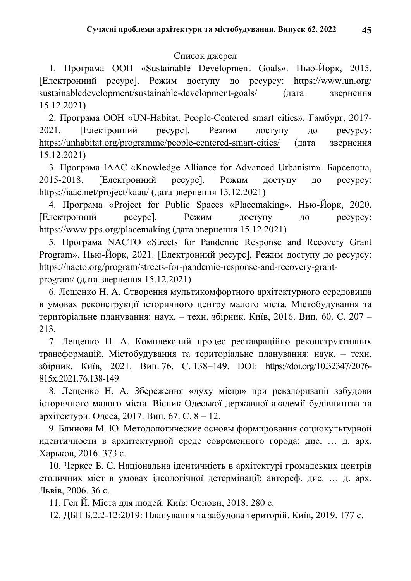## Список джерел

1. Програма ООН «Sustainable Development Goals». Нью-Йорк, 2015. [Електронний ресурс]. Режим доступу до ресурсу: <https://www.un.org/> sustainabledevelopment/sustainable-development-goals/ (дата звернення 15.12.2021)

2. Програма ООН «UN-Habitat. People-Centered smart cities». Гамбург, 2017- 2021. [Електронний ресурс]. Режим доступу до ресурсу: [https://unhabitat.org/](https://unhabitat.org/programme/people-centered-smart-cities/)programme/people-centered-smart-cities/ (дата звернення 15.12.2021)

3. Програма IAAC «Knowledge Alliance for Advanced Urbanism». Барселона, 2015-2018. [Електронний ресурс]. Режим доступу до ресурсу: https://iaac.net/project/kaau/ (дата звернення 15.12.2021)

4. Програма «Project for Public Spaces «Placemaking». Нью-Йорк, 2020. [Електронний ресурс]. Режим доступу до ресурсу: https://www.pps.org/placemaking (дата звернення 15.12.2021)

5. Програма NACTO [«Streets for Pandemic Response and Recovery Grant](https://nacto.org/program/streets-for-pandemic-response-and-recovery-grant-program/)  [Program»](https://nacto.org/program/streets-for-pandemic-response-and-recovery-grant-program/). Нью-Йорк, 2021. [Електронний ресурс]. Режим доступу до ресурсу: https://nacto.org/program/streets-for-pandemic-response-and-recovery-grantprogram/ (дата звернення 15.12.2021)

6. Лещенко Н. А. Створення мультикомфортного архітектурного середовища в умовах реконструкції історичного центру малого міста. Містобудування та територіальне планування: наук. – техн. збірник. Київ, 2016. Вип. 60. С. 207 – 213.

7. Лещенко Н. А. Комплексний процес реставраційно реконструктивних трансформацій. Містобудування та територіальне планування: наук. – техн. збірник. Київ, 2021. Вип. 76. С. 138–149. DOI: [https://doi.org/10.32347/2076-](https://doi.org/10.32347/2076-815x.2021.76.138-149) [815x.2021.76.138-149](https://doi.org/10.32347/2076-815x.2021.76.138-149) 

8. Лещенко Н. А. Збереження «духу місця» при ревалоризації забудови історичного малого міста. Вісник Одеської державної академії будівництва та архітектури. Одеса, 2017. Вип. 67. С. 8 – 12.

9. Блинова М. Ю. Методологические основы формирования социокультурной идентичности в архитектурной среде современного города: дис. … д. арх. Харьков, 2016. 373 с.

10. Черкес Б. С. Національна ідентичність в архітектурі громадських центрів столичних міст в умовах ідеологічної детермінації: автореф. дис. … д. арх. Львів, 2006. 36 с.

11. Гел Й. Міста для людей. Київ: Основи, 2018. 280 с.

12. ДБН Б.2.2-12:2019: Планування та забудова територій. Київ, 2019. 177 c.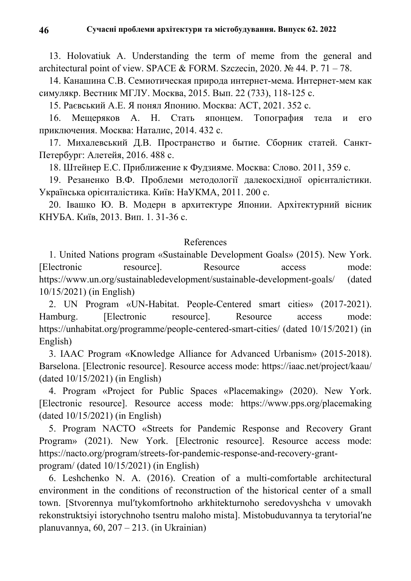13. Holovatiuk A. Understanding the term of meme from the general and architectural point of view. SPACE & FORM. Szczecin, 2020.  $\mathcal{N}_2$  44. P. 71 – 78.

14. Канашина С.В. Семиотическая природа интернет-мема. Интернет-мем как симулякр. Вестник МГЛУ. Москва, 2015. Вып. 22 (733), 118-125 с.

15. Раєвський А.Е. [Я понял](https://ast.ru/book/ya-ponyal-yaponiyu-ot-strany-yamato-do-anime-860151/) Японию. Москва: АСТ, 2021. 352 с.

16. Мещеряков А. Н. Стать японцем. Топография тела и его приключения. Москва: Наталис, 2014. 432 с.

17. Михалевський Д.B. Пространство и бытие. Сборник статей. Санкт-Петербург: Алетейя, 2016. 488 с.

18. Штейнер Е.С. Приближение к Фудзияме. Москва: Слово. 2011, 359 с.

19. Резаненко В.Ф. Проблеми методології далекосхідної орієнталістики. Українська орієнталістика. Київ: НаУКМА, 2011. 200 с.

20. Івашко Ю. В. Модерн в архитектуре Японии. Архітектурний вісник КНУБА. Київ, 2013. Вип. 1. 31-36 с.

## References

1. United Nations program «Sustainable Development Goals» (2015). New York. [Electronic resource]. Resource access mode: https://www.un.org/sustainabledevelopment/sustainable-development-goals/ (dated 10/15/2021) (in English)

2. UN Program «UN-Habitat. People-Centered smart cities» (2017-2021). Hamburg. [Electronic resource]. Resource access mode: https://unhabitat.org/programme/people-centered-smart-cities/ (dated 10/15/2021) (in English)

3. IAAC Program «Knowledge Alliance for Advanced Urbanism» (2015-2018). Barselona. [Electronic resource]. Resource access mode: https://iaac.net/project/kaau/ (dated 10/15/2021) (in English)

4. Program «Project for Public Spaces «Placemaking» (2020). New York. [Electronic resource]. Resource access mode: https://www.pps.org/placemaking (dated 10/15/2021) (in English)

5. Program NACTO «Streets for Pandemic Response and Recovery Grant Program» (2021). New York. [Electronic resource]. Resource access mode: https://nacto.org/program/streets-for-pandemic-response-and-recovery-grantprogram/ (dated 10/15/2021) (in English)

6. Leshchenko N. А. (2016). Creation of a multi-comfortable architectural environment in the conditions of reconstruction of the historical center of a small town. [Stvorennya mulʹtykomfortnoho arkhitekturnoho seredovyshcha v umovakh rekonstruktsiyi istorychnoho tsentru maloho mista]. Mistobuduvannya ta terytorialʹne planuvannya,  $60$ ,  $207 - 213$ . (in Ukrainian)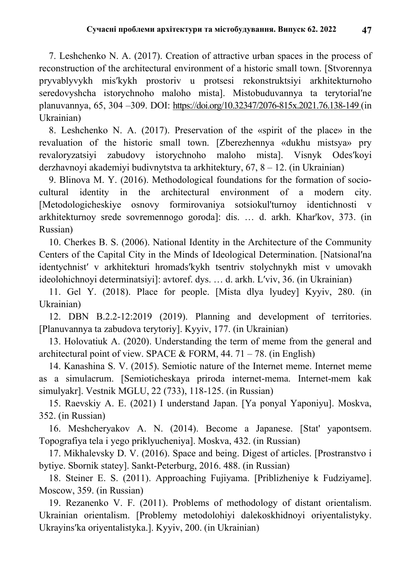7. Leshchenko N. А. (2017). Creation of attractive urban spaces in the process of reconstruction of the architectural environment of a historic small town. [Stvorennya pryvablyvykh misʹkykh prostoriv u protsesi rekonstruktsiyi arkhitekturnoho seredovyshcha istorychnoho maloho mista]. Mistobuduvannya ta terytorialʹne planuvannya, 65, 304 –309. DOI:<https://doi.org/10.32347/2076-815x.2021.76.138-149>(in Ukrainian)

8. Leshchenko N. А. (2017). Preservation of the «spirit of the place» in the revaluation of the historic small town. [Zberezhennya «dukhu mistsya» pry revaloryzatsiyi zabudovy istorychnoho maloho mista]. Visnyk Odesʹkoyi derzhavnoyi akademiyi budivnytstva ta arkhitektury, 67, 8 – 12. (in Ukrainian)

9. Blinova M. Y. (2016). Methodological foundations for the formation of sociocultural identity in the architectural environment of a modern city. [Metodologicheskiye osnovy formirovaniya sotsiokul'turnoy identichnosti v arkhitekturnoy srede sovremennogo goroda]: dis. … d. arkh. Khar'kov, 373. (in Russian)

10. Cherkes B. S. (2006). National Identity in the Architecture of the Community Centers of the Capital City in the Minds of Ideological Determination. [Natsionalʹna identychnistʹ v arkhitekturi hromadsʹkykh tsentriv stolychnykh mist v umovakh ideolohichnoyi determinatsiyi]: avtoref. dys. … d. arkh. Lʹviv, 36. (in Ukrainian)

11. Gel Y. (2018). Place for people. [Mista dlya lyudey] Kyyiv, 280. (in Ukrainian)

12. DBN B.2.2-12:2019 (2019). Planning and development of territories. [Planuvannya ta zabudova terytoriy]. Kyyiv, 177. (in Ukrainian)

13. Holovatiuk A. (2020). Understanding the term of meme from the general and architectural point of view. SPACE & FORM,  $44.71 - 78$ . (in English)

14. Kanashina S. V. (2015). Semiotic nature of the Internet meme. Internet meme as a simulacrum. [Semioticheskaya priroda internet-mema. Internet-mem kak simulyakr]. Vestnik MGLU, 22 (733), 118-125. (in Russian)

15. Raevskiy A. E. (2021) I understand Japan. [Ya ponyal Yaponiyu]. Moskva, 352. (in Russian)

16. Meshcheryakov A. N. (2014). Become a Japanese. [Stat' yapontsem. Topografiya tela i yego priklyucheniya]. Moskva, 432. (in Russian)

17. Mikhalevsky D. V. (2016). Space and being. Digest of articles. [Prostranstvo i bytiye. Sbornik statey]. Sankt-Peterburg, 2016. 488. (in Russian)

18. Steiner E. S. (2011). Approaching Fujiyama. [Priblizheniye k Fudziyame]. Moscow, 359. (in Russian)

19. Rezanenko V. F. (2011). Problems of methodology of distant orientalism. Ukrainian orientalism. [Problemy metodolohiyi dalekoskhidnoyi oriyentalistyky. Ukrayinsʹka oriyentalistyka.]. Kyyiv, 200. (in Ukrainian)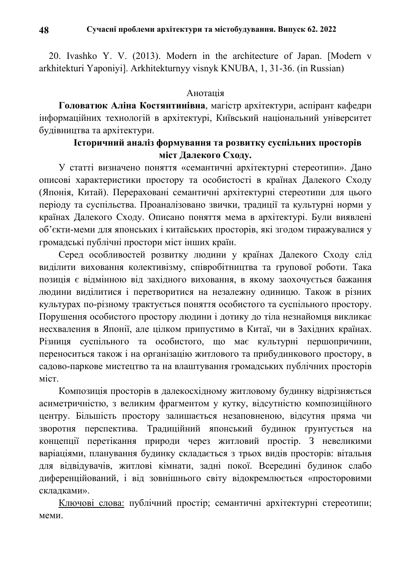20. Ivashko Y. V. (2013). Modern in the architecture of Japan. [Modern v arkhitekturi Yaponiyi]. Arkhitekturnyy visnyk KNUBA, 1, 31-36. (in Russian)

#### Анотація

**Головатюк Аліна Костянтинівна**, магістр архітектури, аспірант кафедри інформаційних технологій в архітектурі, Київський національний університет будівництва та архітектури.

# **Історичний аналіз формування та розвитку суспільних просторів міст Далекого Сходу.**

У статті визначено поняття «семантичні архітектурні стереотипи». Дано описові характеристики простору та особистості в країнах Далекого Сходу (Японія, Китай). Перераховані семантичні архітектурні стереотипи для цього періоду та суспільства. Проаналізовано звички, традиції та культурні норми у країнах Далекого Сходу. Описано поняття мема в архітектурі. Були виявлені об'єкти-меми для японських і китайських просторів, які згодом тиражувалися у громадські публічні простори міст інших країн.

Серед особливостей розвитку людини у країнах Далекого Сходу слід виділити виховання колективізму, співробітництва та групової роботи. Така позиція є відмінною від західного виховання, в якому заохочується бажання людини виділитися і перетворитися на незалежну одиницю. Також в різних культурах по-різному трактується поняття особистого та суспільного простору. Порушення особистого простору людини і дотику до тіла незнайомця викликає несхвалення в Японії, але цілком припустимо в Китаї, чи в Західних країнах. Різниця суспільного та особистого, що має культурні першопричини, переноситься також і на організацію житлового та прибудинкового простору, в садово-паркове мистецтво та на влаштування громадських публічних просторів міст.

Композиція просторів в далекосхідному житловому будинку відрізняється асиметричністю, з великим фрагментом у кутку, відсутністю композиційного центру. Більшість простору залишається незаповненою, відсутня пряма чи зворотня перспектива. Традиційний японський будинок ґрунтується на концепції перетікання природи через житловий простір. З невеликими варіаціями, планування будинку складається з трьох видів просторів: вітальня для відвідувачів, житлові кімнати, задні покої. Всередині будинок слабо диференційований, і від зовнішнього світу відокремлюється «просторовими складками».

Ключові слова: публічний простір; семантичні архітектурні стереотипи; меми.